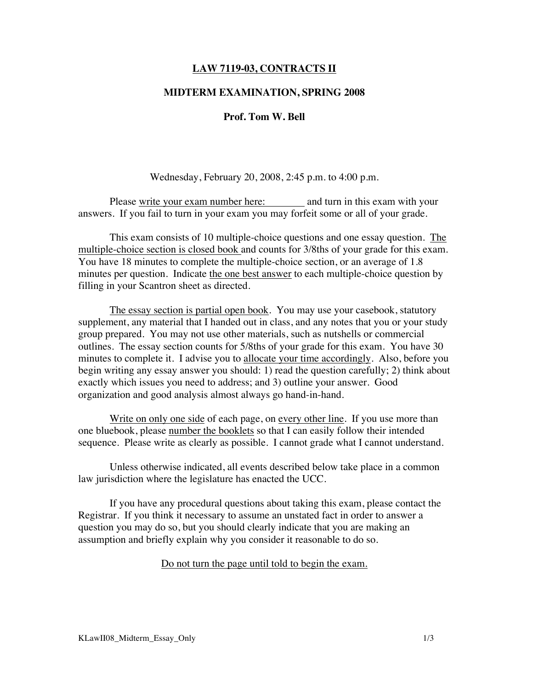## **LAW 7119-03, CONTRACTS II**

### **MIDTERM EXAMINATION, SPRING 2008**

## **Prof. Tom W. Bell**

Wednesday, February 20, 2008, 2:45 p.m. to 4:00 p.m.

Please write your exam number here: and turn in this exam with your answers. If you fail to turn in your exam you may forfeit some or all of your grade.

This exam consists of 10 multiple-choice questions and one essay question. The multiple-choice section is closed book and counts for 3/8ths of your grade for this exam. You have 18 minutes to complete the multiple-choice section, or an average of 1.8 minutes per question. Indicate the one best answer to each multiple-choice question by filling in your Scantron sheet as directed.

The essay section is partial open book. You may use your casebook, statutory supplement, any material that I handed out in class, and any notes that you or your study group prepared. You may not use other materials, such as nutshells or commercial outlines. The essay section counts for 5/8ths of your grade for this exam. You have 30 minutes to complete it. I advise you to allocate your time accordingly. Also, before you begin writing any essay answer you should: 1) read the question carefully; 2) think about exactly which issues you need to address; and 3) outline your answer. Good organization and good analysis almost always go hand-in-hand.

Write on only one side of each page, on every other line. If you use more than one bluebook, please number the booklets so that I can easily follow their intended sequence. Please write as clearly as possible. I cannot grade what I cannot understand.

Unless otherwise indicated, all events described below take place in a common law jurisdiction where the legislature has enacted the UCC.

If you have any procedural questions about taking this exam, please contact the Registrar. If you think it necessary to assume an unstated fact in order to answer a question you may do so, but you should clearly indicate that you are making an assumption and briefly explain why you consider it reasonable to do so.

Do not turn the page until told to begin the exam.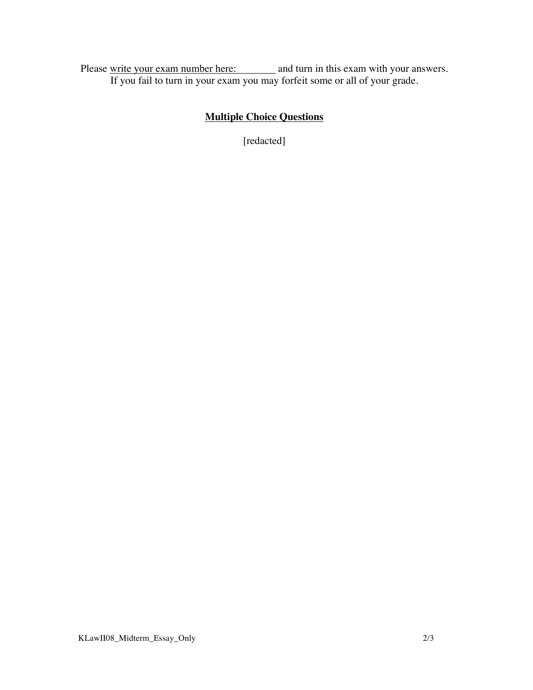Please write your exam number here: and turn in this exam with your answers. If you fail to turn in your exam you may forfeit some or all of your grade.

# **Multiple Choice Questions**

[redacted]